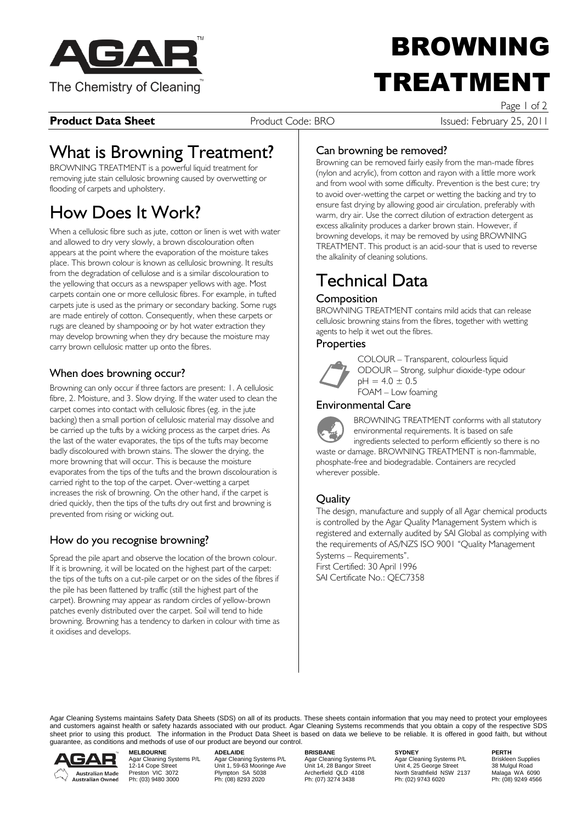

# BROWNING TREATMEN

#### **Product Data Sheet Product Code: BRO Product Code: BRO** Issued: February 25, 2011

Page 1 of 2

## What is Browning Treatment?

BROWNING TREATMENT is a powerful liquid treatment for removing jute stain cellulosic browning caused by overwetting or flooding of carpets and upholstery.

# How Does It Work?

When a cellulosic fibre such as jute, cotton or linen is wet with water and allowed to dry very slowly, a brown discolouration often appears at the point where the evaporation of the moisture takes place. This brown colour is known as cellulosic browning. It results from the degradation of cellulose and is a similar discolouration to the yellowing that occurs as a newspaper yellows with age. Most carpets contain one or more cellulosic fibres. For example, in tufted carpets jute is used as the primary or secondary backing. Some rugs are made entirely of cotton. Consequently, when these carpets or rugs are cleaned by shampooing or by hot water extraction they may develop browning when they dry because the moisture may carry brown cellulosic matter up onto the fibres.

#### When does browning occur?

Browning can only occur if three factors are present: 1. A cellulosic fibre, 2. Moisture, and 3. Slow drying. If the water used to clean the carpet comes into contact with cellulosic fibres (eg. in the jute backing) then a small portion of cellulosic material may dissolve and be carried up the tufts by a wicking process as the carpet dries. As the last of the water evaporates, the tips of the tufts may become badly discoloured with brown stains. The slower the drying, the more browning that will occur. This is because the moisture evaporates from the tips of the tufts and the brown discolouration is carried right to the top of the carpet. Over-wetting a carpet increases the risk of browning. On the other hand, if the carpet is dried quickly, then the tips of the tufts dry out first and browning is prevented from rising or wicking out.

### How do you recognise browning?

Spread the pile apart and observe the location of the brown colour. If it is browning, it will be located on the highest part of the carpet: the tips of the tufts on a cut-pile carpet or on the sides of the fibres if the pile has been flattened by traffic (still the highest part of the carpet). Browning may appear as random circles of yellow-brown patches evenly distributed over the carpet. Soil will tend to hide browning. Browning has a tendency to darken in colour with time as it oxidises and develops.

#### Can browning be removed?

Browning can be removed fairly easily from the man-made fibres (nylon and acrylic), from cotton and rayon with a little more work and from wool with some difficulty. Prevention is the best cure; try to avoid over-wetting the carpet or wetting the backing and try to ensure fast drying by allowing good air circulation, preferably with warm, dry air. Use the correct dilution of extraction detergent as excess alkalinity produces a darker brown stain. However, if browning develops, it may be removed by using BROWNING TREATMENT. This product is an acid-sour that is used to reverse the alkalinity of cleaning solutions.

# Technical Data

#### **Composition**

BROWNING TREATMENT contains mild acids that can release cellulosic browning stains from the fibres, together with wetting agents to help it wet out the fibres.

#### **Properties**



COLOUR – Transparent, colourless liquid ODOUR – Strong, sulphur dioxide-type odour

 $pH = 4.0 \pm 0.5$ FOAM – Low foaming

### Environmental Care



BROWNING TREATMENT conforms with all statutory environmental requirements. It is based on safe ingredients selected to perform efficiently so there is no waste or damage. BROWNING TREATMENT is non-flammable, phosphate-free and biodegradable. Containers are recycled wherever possible.

#### **Ouality**

The design, manufacture and supply of all Agar chemical products is controlled by the Agar Quality Management System which is registered and externally audited by SAI Global as complying with the requirements of AS/NZS ISO 9001 "Quality Management Systems – Requirements". First Certified: 30 April 1996 SAI Certificate No.: QEC7358

Agar Cleaning Systems maintains Safety Data Sheets (SDS) on all of its products. These sheets contain information that you may need to protect your employees and customers against health or safety hazards associated with our product. Agar Cleaning Systems recommends that you obtain a copy of the respective SDS sheet prior to using this product. The information in the Product Data Sheet is based on data we believe to be reliable. It is offered in good faith, but without guarantee, as conditions and methods of use of our product are beyond our control.



**MELBOURNE ADELAIDE BRISBANE SYDNEY PERTH**

Agar Cleaning Systems P/L Agar Cleaning Systems P/L Agar Cleaning Systems P/L Briskleen Supplies<br>12-14 Cope Street Unit 1, 59-63 Mooringe Ave Unit 14, 28 Bangor Street Unit 4, 25 George Street 38 Mulg Physical Marc Cleaning Systems P/L<br>
Physical Marc Cleaning Systems P/L<br>
Physical Marc Cleaning Systems P/L<br>
Phis (03) 9222<br>
Ph: (03) 9280 3000<br>
Ph: (08) 8293 2020<br>
Ph: (08) 8293 2020<br>
Ph: (07) 3274 3438<br>
Ph: (07) 3274 3438